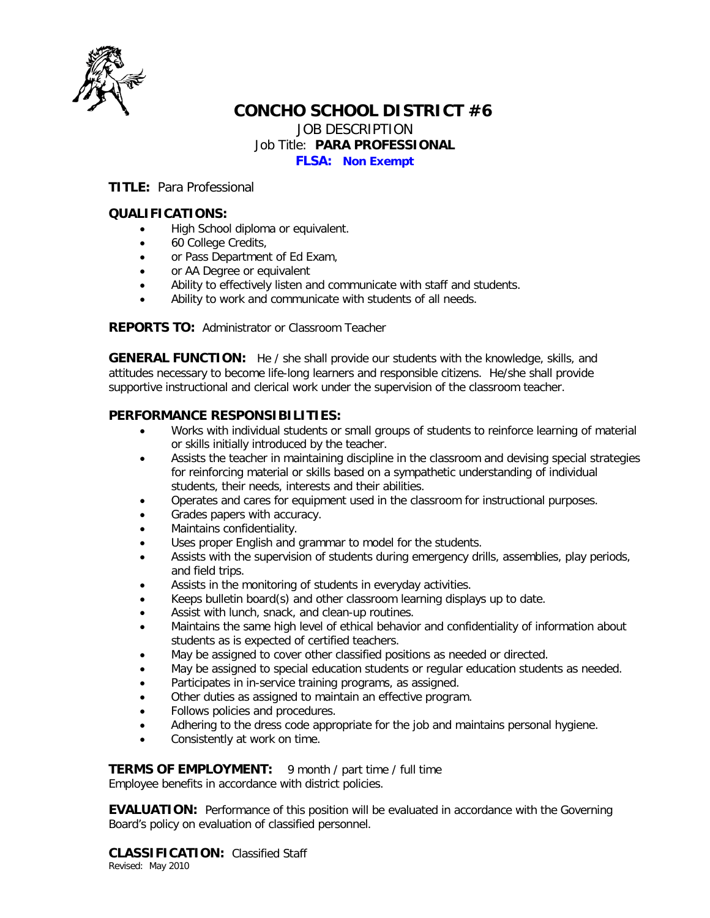

# **CONCHO SCHOOL DISTRICT #6**

JOB DESCRIPTION

#### Job Title: **PARA PROFESSIONAL**

**FLSA: Non Exempt**

**TITLE:** Para Professional

## **QUALIFICATIONS:**

- High School diploma or equivalent.
- 60 College Credits,
- or Pass Department of Ed Exam,
- or AA Degree or equivalent
- Ability to effectively listen and communicate with staff and students.
- Ability to work and communicate with students of all needs.

**REPORTS TO:** Administrator or Classroom Teacher

**GENERAL FUNCTION:** He / she shall provide our students with the knowledge, skills, and attitudes necessary to become life-long learners and responsible citizens. He/she shall provide supportive instructional and clerical work under the supervision of the classroom teacher.

### **PERFORMANCE RESPONSIBILITIES:**

- Works with individual students or small groups of students to reinforce learning of material or skills initially introduced by the teacher.
- Assists the teacher in maintaining discipline in the classroom and devising special strategies for reinforcing material or skills based on a sympathetic understanding of individual students, their needs, interests and their abilities.
- Operates and cares for equipment used in the classroom for instructional purposes.
- Grades papers with accuracy.
- Maintains confidentiality.
- Uses proper English and grammar to model for the students.
- Assists with the supervision of students during emergency drills, assemblies, play periods, and field trips.
- Assists in the monitoring of students in everyday activities.
- Keeps bulletin board(s) and other classroom learning displays up to date.
- Assist with lunch, snack, and clean-up routines.
- Maintains the same high level of ethical behavior and confidentiality of information about students as is expected of certified teachers.
- May be assigned to cover other classified positions as needed or directed.
- May be assigned to special education students or regular education students as needed.
- Participates in in-service training programs, as assigned.
- Other duties as assigned to maintain an effective program.
- Follows policies and procedures.
- Adhering to the dress code appropriate for the job and maintains personal hygiene.
- Consistently at work on time.

#### **TERMS OF EMPLOYMENT:** 9 month / part time / full time

Employee benefits in accordance with district policies.

**EVALUATION:** Performance of this position will be evaluated in accordance with the Governing Board's policy on evaluation of classified personnel.

**CLASSIFICATION:** Classified Staff Revised: May 2010